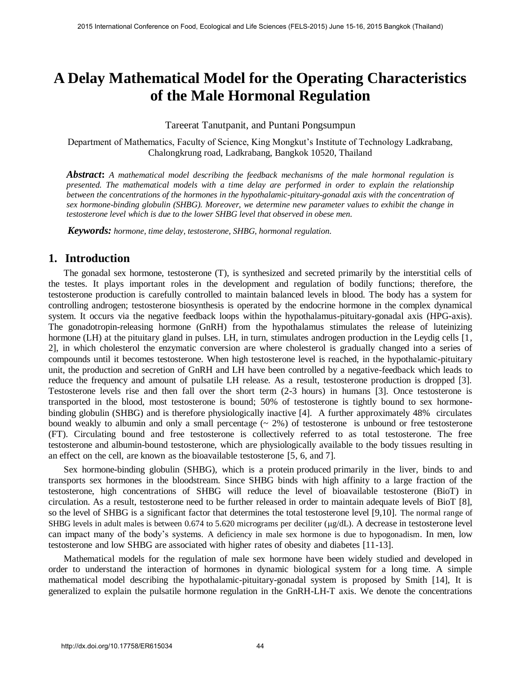# **A Delay Mathematical Model for the Operating Characteristics of the Male Hormonal Regulation**

Tareerat Tanutpanit, and Puntani Pongsumpun

Department of Mathematics, Faculty of Science, King Mongkut's Institute of Technology Ladkrabang, Chalongkrung road, Ladkrabang, Bangkok 10520, Thailand

*Abstract***:** *A mathematical model describing the feedback mechanisms of the male hormonal regulation is presented. The mathematical models with a time delay are performed in order to explain the relationship between the concentrations of the hormones in the hypothalamic-pituitary-gonadal axis with the concentration of sex hormone-binding globulin (SHBG). Moreover, we determine new parameter values to exhibit the change in testosterone level which is due to the lower SHBG level that observed in obese men.* 

*Keywords: hormone, time delay, testosterone, SHBG, hormonal regulation.* 

## **1. Introduction**

The gonadal sex hormone, testosterone (T), is synthesized and secreted primarily by the interstitial cells of the testes. It plays important roles in the development and regulation of bodily functions; therefore, the testosterone production is carefully controlled to maintain balanced levels in blood. The body has a system for controlling androgen; testosterone biosynthesis is operated by the endocrine hormone in the complex dynamical system. It occurs via the negative feedback loops within the hypothalamus-pituitary-gonadal axis (HPG-axis). The [gonadotropin-releasing hormone](http://www.yourhormones.info/hormones/gonadotrophinreleasing_hormone.aspx) (GnRH) from the hypothalamus stimulates the release of luteinizing hormone (LH) at the pituitary gland in pulses. LH, in turn, stimulates androgen production in the Leydig cells [1, 2], in which cholesterol the enzymatic conversion are where cholesterol is gradually changed into a series of compounds until it becomes testosterone. When high testosterone level is reached, in the hypothalamic-pituitary unit, the production and secretion of GnRH and LH have been controlled by a negative-feedback which leads to reduce the frequency and amount of pulsatile LH release. As a result, testosterone production is dropped [3]. Testosterone levels rise and then fall over the short term (2-3 hours) in humans [3]. Once testosterone is transported in the blood, most testosterone is bound; 50% of testosterone is tightly bound to sex hormonebinding globulin (SHBG) and is therefore physiologically inactive [4]. A further approximately 48% circulates bound weakly to albumin and only a small percentage  $(2\%)$  of testosterone is unbound or free testosterone (FT). Circulating bound and free testosterone is collectively referred to as total testosterone. The free testosterone and albumin-bound testosterone, which are physiologically available to the body tissues resulting in an effect on the cell, are known as the bioavailable testosterone [5, 6, and 7].

Sex hormone-binding globulin (SHBG), which is a protein produced primarily in the liver, binds to and transports sex hormones in the bloodstream. Since SHBG binds with high affinity to a large fraction of the testosterone, high concentrations of SHBG will reduce the level of bioavailable testosterone (BioT) in circulation. As a result, testosterone need to be further released in order to maintain adequate levels of BioT [8], so the level of SHBG is a significant factor that determines the total testosterone level [9,10]. The normal range of SHBG levels in adult males is between  $0.674$  to  $5.620$  micrograms per deciliter ( $\mu$ g/dL). A decrease in testosterone level can impact many of the body's systems. A deficiency in male sex hormone is due to hypogonadism. In men, low testosterone and low SHBG are associated with higher rates of obesity and diabetes [11-13].

Mathematical models for the regulation of male sex hormone have been widely studied and developed in order to understand the interaction of hormones in dynamic biological system for a long time. A simple mathematical model describing the hypothalamic-pituitary-gonadal system is proposed by Smith [14], It is generalized to explain the pulsatile hormone regulation in the GnRH-LH-T axis. We denote the concentrations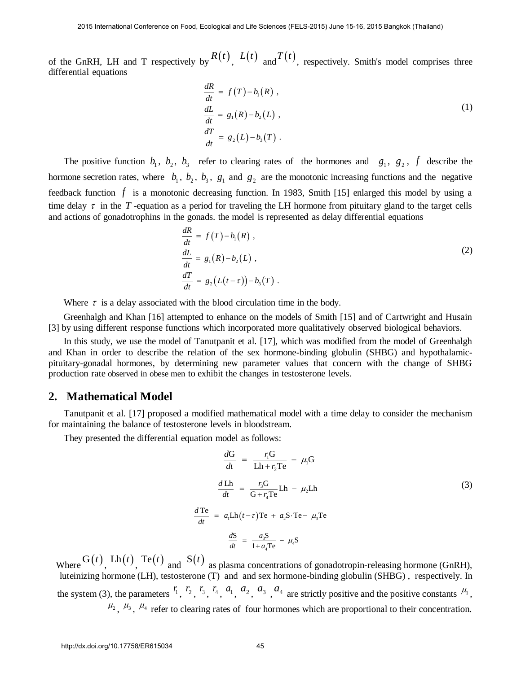of the GnRH, LH and T respectively by  $R(t)$ ,  $L(t)$  and  $T(t)$ , respectively. Smith's model comprises three differential equations

$$
\frac{dR}{dt} = f(T) - b_1(R) ,
$$
  
\n
$$
\frac{dL}{dt} = g_1(R) - b_2(L) ,
$$
  
\n
$$
\frac{dT}{dt} = g_2(L) - b_3(T) .
$$
\n(1)

The positive function  $b_1$ ,  $b_2$ ,  $b_3$  refer to clearing rates of the hormones and  $g_1$ ,  $g_2$ ,  $f$  describe the hormone secretion rates, where  $b_1$ ,  $b_2$ ,  $b_3$ ,  $g_1$  and  $g_2$  are the monotonic increasing functions and the negative feedback function f is a monotonic decreasing function. In 1983, Smith [15] enlarged this model by using a time delay  $\tau$  in the  $T$ -equation as a period for traveling the LH hormone from pituitary gland to the target cells and actions of gonadotrophins in the gonads. the model is represented as delay differential equations

$$
\frac{dR}{dt} = f(T) - b_1(R),
$$
\n
$$
\frac{dL}{dt} = g_1(R) - b_2(L),
$$
\n
$$
\frac{dT}{dt} = g_2(L(t-\tau)) - b_3(T).
$$
\n(2)

Where  $\tau$  is a delay associated with the blood circulation time in the body.

Greenhalgh and Khan [16] attempted to enhance on the models of Smith [15] and of Cartwright and Husain [3] by using different response functions which incorporated more qualitatively observed biological behaviors.

In this study, we use the model of Tanutpanit et al. [17], which was modified from the model of Greenhalgh and Khan in order to describe the relation of the sex hormone-binding globulin (SHBG) and hypothalamicpituitary-gonadal hormones, by determining new parameter values that concern with the change of SHBG production rate observed in obese men to exhibit the changes in testosterone levels.

#### **2. Mathematical Model**

Tanutpanit et al. [17] proposed a modified mathematical model with a time delay to consider the mechanism for maintaining the balance of testosterone levels in bloodstream.

They presented the differential equation model as follows:

$$
\frac{dG}{dt} = \frac{r_1 G}{L h + r_2 T e} - \mu_1 G
$$
\n
$$
\frac{d L h}{dt} = \frac{r_3 G}{G + r_4 T e} L h - \mu_2 L h
$$
\n(3)\n
$$
\frac{d T e}{dt} = a_1 L h (t - \tau) T e + a_2 S \cdot T e - \mu_3 T e
$$
\n
$$
\frac{dS}{dt} = \frac{a_3 S}{1 + a_4 T e} - \mu_4 S
$$

Where  $G(t)$ ,  $Lh(t)$ ,  $Te(t)$  and  $S(t)$  as plasma concentrations of [gonadotropin-releasing hormone](http://www.yourhormones.info/hormones/gonadotrophinreleasing_hormone.aspx) (GnRH), luteinizing hormone (LH), testosterone (T) and and sex hormone-binding globulin (SHBG) , respectively. In the system (3), the parameters  $^{r_1}$ ,  $^{r_2}$ ,  $^{r_3}$ ,  $^{r_4}$ ,  $^{a_1}$ ,  $^{a_2}$ ,  $^{a_3}$ ,  $^{a_4}$  are strictly positive and the positive constants  $^{u_1}$ ,  $\mu_2$ ,  $\mu_3$ ,  $\mu_4$  refer to clearing rates of four hormones which are proportional to their concentration.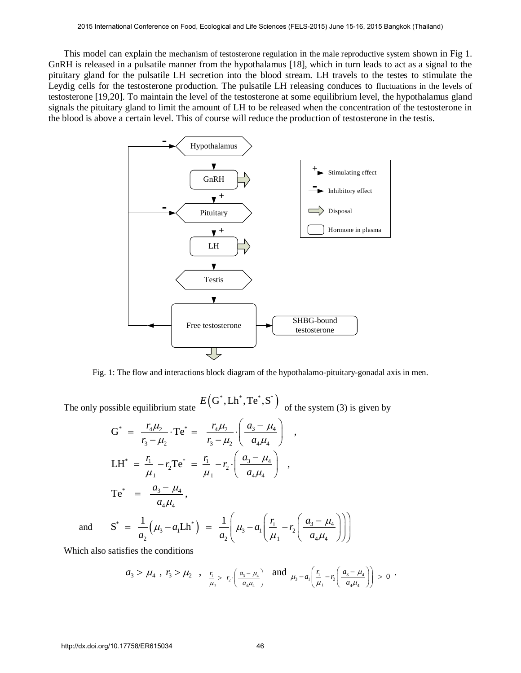This model can explain the mechanism of testosterone regulation in the male reproductive system shown in Fig 1. GnRH is released in a pulsatile manner from the hypothalamus [18], which in turn leads to act as a signal to the pituitary gland for the pulsatile LH secretion into the blood stream. LH travels to the testes to stimulate the Leydig cells for the testosterone production. The pulsatile LH releasing conduces to fluctuations in the levels of testosterone [19,20]. To maintain the level of the testosterone at some equilibrium level, the hypothalamus gland signals the pituitary gland to limit the amount of LH to be released when the concentration of the testosterone in the blood is above a certain level. This of course will reduce the production of testosterone in the testis.



Fig. 1: The flow and interactions block diagram of the hypothalamo-pituitary-gonadal axis in men.

The only possible equilibrium state  $E(G^*, Lh^*, Te^*, S^*)$  of the system (3) is given by<br>  $G^* = \frac{r_4 \mu_2}{r_4 \mu_2} \cdot Te^* = \frac{r_4 \mu_2}{r_4 \mu_2} \cdot \left(\frac{a_3 - \mu_4}{a_3 - \mu_4}\right)$ ,

$$
G^* = \frac{r_4 \mu_2}{r_3 - \mu_2} \cdot Te^* = \frac{r_4 \mu_2}{r_3 - \mu_2} \cdot \left(\frac{a_3 - \mu_4}{a_4 \mu_4}\right) ,
$$
  
\n
$$
LH^* = \frac{r_1}{\mu_1} - r_2 Te^* = \frac{r_1}{\mu_1} - r_2 \cdot \left(\frac{a_3 - \mu_4}{a_4 \mu_4}\right) ,
$$
  
\n
$$
Te^* = \frac{a_3 - \mu_4}{a_4 \mu_4} ,
$$
  
\n
$$
S^* = \frac{1}{a_2} (\mu_3 - a_1 Lh^*) = \frac{1}{a_2} \left(\mu_3 - a_1 \left(\frac{r_1}{\mu_1} - r_2 \left(\frac{a_3 - \mu_4}{a_4 \mu_4}\right)\right)\right)
$$

and

 $\frac{1}{a_2}(\mu_3 - a_1 \text{L} h^*) = \frac{1}{a_2} \left( \mu_3 - a_1 \left( \frac{r_1}{\mu_1} - r_2 \left( \frac{a_3 - \mu_1}{a_4 \mu_4} \right) \right) \right)$ Which also satisfies the conditions

$$
a_3 > \mu_4
$$
,  $r_3 > \mu_2$ ,  $\frac{r_1}{\mu_1} > r_2 \cdot \left(\frac{a_3 - \mu_4}{a_4 \mu_4}\right)$  and  $\mu_3 - a_1 \left(\frac{r_1}{\mu_1} - r_2 \left(\frac{a_3 - \mu_4}{a_4 \mu_4}\right)\right) > 0$ .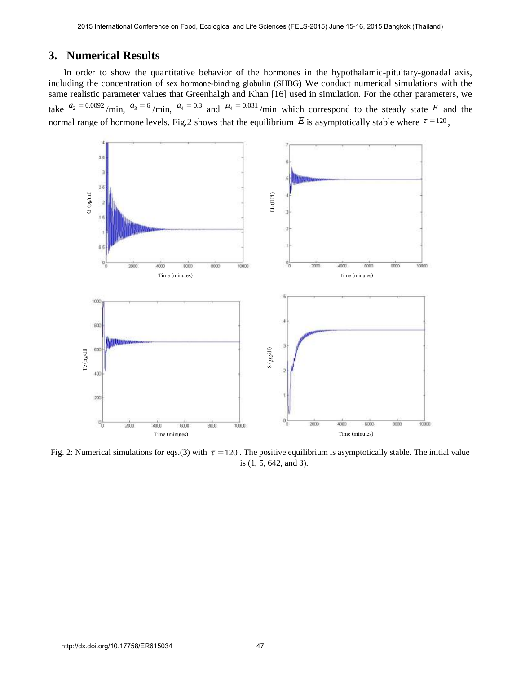### **3. Numerical Results**

In order to show the quantitative behavior of the hormones in the hypothalamic-pituitary-gonadal axis, including the concentration of sex hormone-binding globulin (SHBG) We conduct numerical simulations with the same realistic parameter values that Greenhalgh and Khan [16] used in simulation. For the other parameters, we take  $a_2 = 0.0092$ /min,  $a_3 = 6$ /min,  $a_4 = 0.3$  and  $a_4 = 0.031$ /min which correspond to the steady state E and the normal range of hormone levels. Fig.2 shows that the equilibrium  $E$  is asymptotically stable where  $\tau = 120$ ,



Fig. 2: Numerical simulations for eqs.(3) with  $\tau = 120$ . The positive equilibrium is asymptotically stable. The initial value is (1, 5, 642, and 3).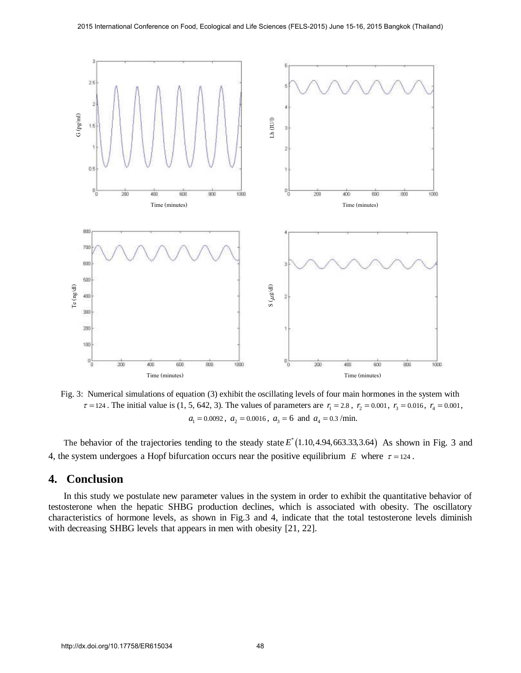

Fig. 3: Numerical simulations of equation (3) exhibit the oscillating levels of four main hormones in the system with  $\tau = 124$ . The initial value is (1, 5, 642, 3). The values of parameters are  $r_1 = 2.8$ ,  $r_2 = 0.001$ ,  $r_3 = 0.016$ ,  $r_4 = 0.001$ ,  $a_1 = 0.0092$ ,  $a_2 = 0.0016$ ,  $a_3 = 6$  and  $a_4 = 0.3$ /min.

The behavior of the trajectories tending to the steady state  $E^*(1.10, 4.94, 663.33, 3.64)$  As shown in Fig. 3 and 4, the system undergoes a Hopf bifurcation occurs near the positive equilibrium  $E$  where  $\tau = 124$ .

#### **4. Conclusion**

In this study we postulate new parameter values in the system in order to exhibit the quantitative behavior of testosterone when the hepatic SHBG production declines, which is associated with obesity. The oscillatory characteristics of hormone levels, as shown in Fig.3 and 4, indicate that the total testosterone levels diminish with decreasing SHBG levels that appears in men with obesity [21, 22].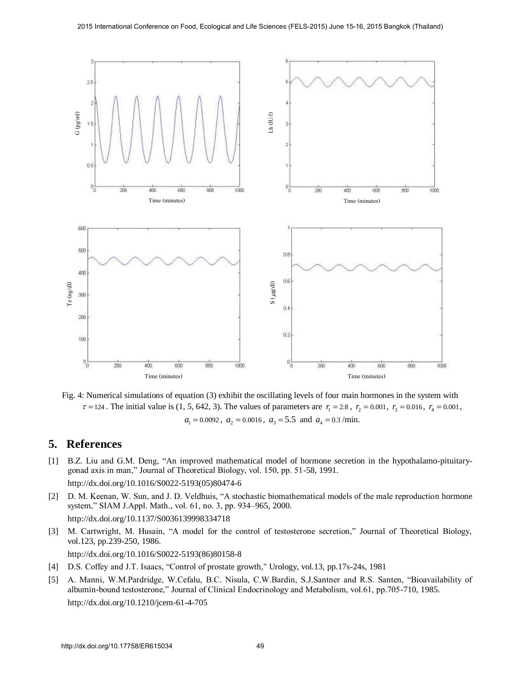

Fig. 4: Numerical simulations of equation (3) exhibit the oscillating levels of four main hormones in the system with  $\tau = 124$ . The initial value is (1, 5, 642, 3). The values of parameters are  $r_1 = 2.8$ ,  $r_2 = 0.001$ ,  $r_3 = 0.016$ ,  $r_4 = 0.001$ ,  $a_1 = 0.0092$ ,  $a_2 = 0.0016$ ,  $a_3 = 5.5$  and  $a_4 = 0.3$ /min.

### **5. References**

- [1] [B.Z. Liu and G.M. Deng, "An improved mathematical model of hormone secretion in the hypothalamo-pituitary](http://dx.doi.org/10.1016/S0022-5193(05)80474-6)[gonad axis in man," Journal of Theoretical Biology, vol. 150, pp. 51-58, 1991.](http://dx.doi.org/10.1016/S0022-5193(05)80474-6) [http://dx.doi.org/10.1016/S0022-5193\(05\)80474-6](http://dx.doi.org/10.1016/S0022-5193(05)80474-6)
- [2] [D. M. Keenan, W. Sun, and J. D. Veldhuis, "A stochastic biomathematical models of the male reproduction hormone](http://dx.doi.org/10.1137/S0036139998334718)  [system," SIAM J.Appl. Math., vol. 61, no. 3, pp. 934–965, 2000.](http://dx.doi.org/10.1137/S0036139998334718) <http://dx.doi.org/10.1137/S0036139998334718>
- [3] [M. Cartwright, M. Husain, "A model for the control of testosterone secretion," Journal of Theoretical Biology,](http://dx.doi.org/10.1016/S0022-5193(86)80158-8)  [vol.123, pp.239-250, 1986.](http://dx.doi.org/10.1016/S0022-5193(86)80158-8)

[http://dx.doi.org/10.1016/S0022-5193\(86\)80158-8](http://dx.doi.org/10.1016/S0022-5193(86)80158-8)

- [4] D.S. Coffey and J.T. Isaacs, "Control of prostate growth," Urology, vol.13, pp.17s-24s, 1981
- [5] [A. Manni, W.M.Pardridge, W.Cefalu, B.C. Nisula, C.W.Bardin, S.J.Santner and R.S. Santen, "Bioavailability of](http://dx.doi.org/10.1210/jcem-61-4-705)  [albumin-bound testosterone," Journal of Clinical Endocrinology and Metabolism, vol.61, pp.705-710, 1985.](http://dx.doi.org/10.1210/jcem-61-4-705) <http://dx.doi.org/10.1210/jcem-61-4-705>